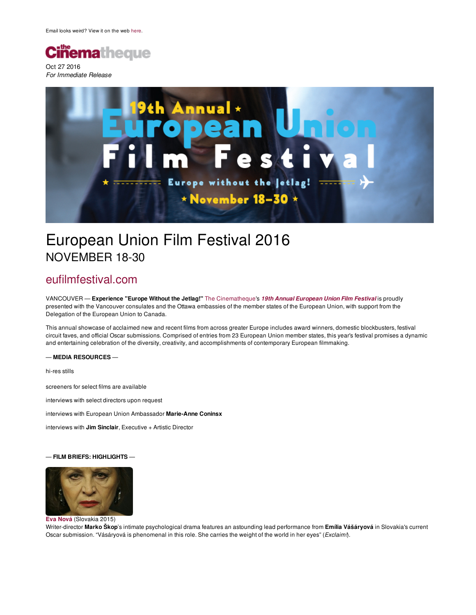

*For Immediate Release*



## European Union Film Festival 2016 NOVEMBER 18-30

### [eufilmfestival.com](http://eufilmfestival.com)

VANCOUVER — **Experience "Europe Without the Jetlag!"** The [Cinematheque](http://thecinematheque.ca/)'s *19th Annual [European](http://www.thecinematheque.ca/eufilmfestival) Union Film Festival* is proudly presented with the Vancouver consulates and the Ottawa embassies of the member states of the European Union, with support from the Delegation of the European Union to Canada.

This annual showcase of acclaimed new and recent films from across greater Europe includes award winners, domestic blockbusters, festival circuit faves, and official Oscar submissions. Comprised of entries from 23 European Union member states, this year's festival promises a dynamic and entertaining celebration of the diversity, creativity, and accomplishments of contemporary European filmmaking.

#### — **MEDIA RESOURCES** —

hi-res stills

screeners for select films are available

interviews with select directors upon request

interviews with European Union Ambassador **Marie-Anne Coninsx**

interviews with **Jim Sinclair**, Executive + Artistic Director

#### — **FILM BRIEFS: HIGHLIGHTS** —



#### **Eva [Nová](http://www.thecinematheque.ca/eufilmfestival/slovakia-eva-nova)** [\(Slovakia](http://www.thecinematheque.ca/eufilmfestival/slovakia-eva-nova) 2015)

Writer-director **Marko Škop**'s intimate psychological drama features an astounding lead performance from **Emília Vášáryová** in Slovakia's current Oscar submission. "Vásáryová is phenomenal in this role. She carries the weight of the world in her eyes" (*Exclaim!*).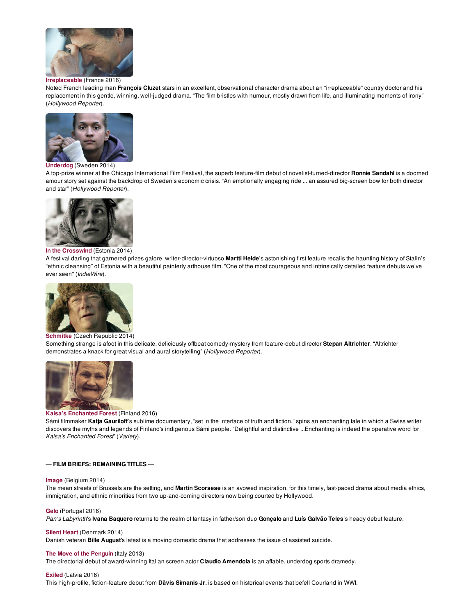

#### **[Irreplaceable](http://www.thecinematheque.ca/eufilmfestival/france-irreplaceable)** (France 2016)

Noted French leading man **François Cluzet** stars in an excellent, observational character drama about an "irreplaceable" country doctor and his replacement in this gentle, winning, well-judged drama. "The film bristles with humour, mostly drawn from life, and illuminating moments of irony" (*Hollywood Reporter*).



#### **[Underdog](http://www.thecinematheque.ca/eufilmfestival/sweden-underdog)** [\(Sweden](http://www.thecinematheque.ca/eufilmfestival/sweden-underdog) 2014)

A top-prize winner at the Chicago International Film Festival, the superb feature-film debut of novelist-turned-director **Ronnie Sandahl** is a doomed amour story set against the backdrop of Sweden's economic crisis. "An emotionally engaging ride ... an assured big-screen bow for both director and star" (*Hollywood Reporter*).



#### **In the [Crosswind](http://www.thecinematheque.ca/eufilmfestival/estonia-in-the-crosswind)** (Estonia 2014)

A festival darling that garnered prizes galore, writer-director-virtuoso **Martti Helde**'s astonishing first feature recalls the haunting history of Stalin's "ethnic cleansing" of Estonia with a beautiful painterly arthouse film. "One of the most courageous and intrinsically detailed feature debuts we've ever seen" (*IndieWire*).



#### **[Schmitke](http://www.thecinematheque.ca/eufilmfestival/czech-republic-schmitke)** (Czech [Republic](http://www.thecinematheque.ca/eufilmfestival/czech-republic-schmitke) 2014)

Something strange is afoot in this delicate, deliciously offbeat comedy-mystery from feature-debut director **Stepan Altrichter**. "Altrichter demonstrates a knack for great visual and aural storytelling" (*Hollywood Reporter*).



#### **Kaisa's [Enchanted](http://www.thecinematheque.ca/eufilmfestival/finland-kaisas-enchanted-forest) Forest** (Finland 2016)

Sámi filmmaker **Katja Gauriloff**'s sublime documentary, "set in the interface of truth and fiction," spins an enchanting tale in which a Swiss writer discovers the myths and legends of Finland's indigenous Sámi people. "Delightful and distinctive ...Enchanting is indeed the operative word for *Kaisa's Enchanted Forest*" (*Variety*).

#### — **FILM BRIEFS: REMAINING TITLES** —

#### **[Image](http://www.thecinematheque.ca/eufilmfestival/belgium-image)** (Belgium 2014)

The mean streets of Brussels are the setting, and **Martin Scorsese** is an avowed inspiration, for this timely, fast-paced drama about media ethics, immigration, and ethnic minorities from two up-and-coming directors now being courted by Hollywood.

#### **[Gelo](http://www.thecinematheque.ca/eufilmfestival/portugal-gelo)** (Portugal 2016)

*Pan's Labyrinth*'s **Ivana Baquero** returns to the realm of fantasy in father/son duo **Gonçalo** and **Luís Galvão Teles**'s heady debut feature.

#### **Silent [Heart](http://www.thecinematheque.ca/eufilmfestival/denmark-silent-heart)** (Denmark 2014)

Danish veteran **Bille August**'s latest is a moving domestic drama that addresses the issue of assisted suicide.

#### **The Move of the [Penguin](http://www.thecinematheque.ca/eufilmfestival/italy-the-move-of-the-penguin)** (Italy 2013)

The directorial debut of award-winning Italian screen actor **Claudio Amendola** is an affable, underdog sports dramedy.

#### **[Exiled](http://www.thecinematheque.ca/eufilmfestival/latvia-exiled)** (Latvia 2016)

This high-profile, fiction-feature debut from **Dāvis Sīmanis Jr.** is based on historical events that befell Courland in WWI.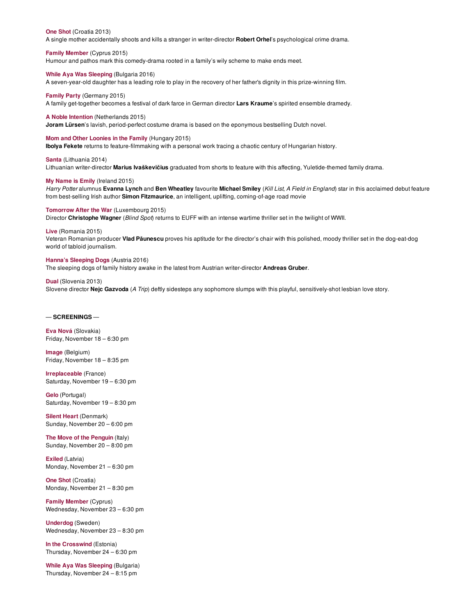**One [Shot](http://www.thecinematheque.ca/eufilmfestival/croatia-one-shot)** (Croatia 2013)

A single mother accidentally shoots and kills a stranger in writer-director **Robert Orhel**'s psychological crime drama.

**Family [Member](http://www.thecinematheque.ca/eufilmfestival/cyprus-family-member)** (Cyprus 2015)

Humour and pathos mark this comedy-drama rooted in a family's wily scheme to make ends meet.

**While Aya Was [Sleeping](http://www.thecinematheque.ca/eufilmfestival/bulgaria-while-aya-was-sleeping)** (Bulgaria 2016)

**A Noble [Intention](http://www.thecinematheque.ca/eufilmfestival/netherlands-a-noble-intention)** (Netherlands 2015)

A seven-year-old daughter has a leading role to play in the recovery of her father's dignity in this prize-winning film.

**[Family](http://www.thecinematheque.ca/eufilmfestival/germany-family-party) Party** (Germany 2015) A family get-together becomes a festival of dark farce in German director **Lars Kraume**'s spirited ensemble dramedy.

**Joram Lürsen**'s lavish, period-perfect costume drama is based on the eponymous bestselling Dutch novel.

**Mom and Other [Loonies](http://www.thecinematheque.ca/eufilmfestival/hungary-mom-and-other-loonies-in-the-family) in the Family** (Hungary 2015) **Ibolya Fekete** returns to feature-filmmaking with a personal work tracing a chaotic century of Hungarian history.

**[Santa](http://www.thecinematheque.ca/eufilmfestival/lithuania-santa)** (Lithuania 2014) Lithuanian writer-director **Marius Ivaškevičius** graduated from shorts to feature with this affecting, Yuletide-themed family drama.

**My [Name](http://www.thecinematheque.ca/eufilmfestival/ireland-my-name-is-emily) is Emily** (Ireland 2015)

Harry Potter alumnus Evanna Lynch and Ben Wheatley favourite Michael Smiley (Kill List, A Field in England) star in this acclaimed debut feature from best-selling Irish author **Simon Fitzmaurice**, an intelligent, uplifting, coming-of-age road movie

#### **[Tomorrow](http://www.thecinematheque.ca/eufilmfestival/luxembourg-tomorrow-after-the-war) After the War** (Luxembourg 2015)

Director **Christophe Wagner** (*Blind Spot*) returns to EUFF with an intense wartime thriller set in the twilight of WWII.

**[Live](http://www.thecinematheque.ca/eufilmfestival/romania-live)** (Romania 2015)

Veteran Romanian producer **Vlad Păunescu** proves his aptitude for the director's chair with this polished, moody thriller set in the dog-eat-dog world of tabloid journalism.

#### **Hanna's [Sleeping](http://www.thecinematheque.ca/eufilmfestival/austria-hannas-sleeping-dogs) Dogs** (Austria 2016)

The sleeping dogs of family history awake in the latest from Austrian writer-director **Andreas Gruber**.

#### **[Dual](http://www.thecinematheque.ca/eufilmfestival/slovenia-dual)** (Slovenia 2013)

Slovene director **Nejc Gazvoda** (*A Trip*) deftly sidesteps any sophomore slumps with this playful, sensitively-shot lesbian love story.

#### — **SCREENINGS** —

**Eva [Nová](http://www.thecinematheque.ca/eufilmfestival/slovakia-eva-nova)** (Slovakia) Friday, November 18 – 6:30 pm

**[Image](http://www.thecinematheque.ca/eufilmfestival/belgium-image)** (Belgium) Friday, November 18 – 8:35 pm

**[Irreplaceable](http://www.thecinematheque.ca/eufilmfestival/france-irreplaceable)** (France) Saturday, November 19 – 6:30 pm

**[Gelo](http://www.thecinematheque.ca/eufilmfestival/portugal-gelo)** (Portugal) Saturday, November 19 – 8:30 pm

**Silent [Heart](http://www.thecinematheque.ca/eufilmfestival/denmark-silent-heart)** (Denmark) Sunday, November 20 – 6:00 pm

**The Move of the [Penguin](http://www.thecinematheque.ca/eufilmfestival/italy-the-move-of-the-penguin)** (Italy) Sunday, November 20 – 8:00 pm

**[Exiled](http://www.thecinematheque.ca/eufilmfestival/latvia-exiled)** (Latvia) Monday, November 21 – 6:30 pm

**One [Shot](http://www.thecinematheque.ca/eufilmfestival/croatia-one-shot)** (Croatia) Monday, November 21 – 8:30 pm

**Family [Member](http://www.thecinematheque.ca/eufilmfestival/cyprus-family-member)** (Cyprus) Wednesday, November 23 – 6:30 pm

**[Underdog](http://www.thecinematheque.ca/eufilmfestival/sweden-underdog)** (Sweden) Wednesday, November 23 – 8:30 pm

**In the [Crosswind](http://www.thecinematheque.ca/eufilmfestival/estonia-in-the-crosswind)** (Estonia) Thursday, November 24 – 6:30 pm

**While Aya Was [Sleeping](http://www.thecinematheque.ca/eufilmfestival/bulgaria-while-aya-was-sleeping)** (Bulgaria) Thursday, November 24 – 8:15 pm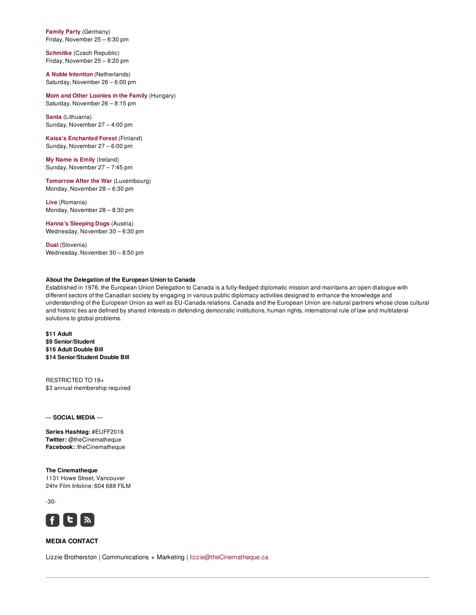**[Family](http://www.thecinematheque.ca/eufilmfestival/germany-family-party) Party** (Germany) Friday, November 25 – 6:30 pm

**[Schmitke](http://www.thecinematheque.ca/eufilmfestival/czech-republic-schmitke)** (Czech Republic) Friday, November 25 – 8:20 pm

**A Noble [Intention](http://www.thecinematheque.ca/eufilmfestival/netherlands-a-noble-intention)** (Netherlands) Saturday, November 26 – 6:00 pm

**Mom and Other [Loonies](http://www.thecinematheque.ca/eufilmfestival/hungary-mom-and-other-loonies-in-the-family) in the Family** (Hungary) Saturday, November 26 – 8:15 pm

**[Santa](http://www.thecinematheque.ca/eufilmfestival/lithuania-santa)** (Lithuania) Sunday, November 27 – 4:00 pm

**Kaisa's [Enchanted](http://www.thecinematheque.ca/eufilmfestival/finland-kaisas-enchanted-forest) Forest** (Finland) Sunday, November 27 – 6:00 pm

**My [Name](http://www.thecinematheque.ca/eufilmfestival/ireland-my-name-is-emily) is Emily** (Ireland) Sunday, November 27 – 7:45 pm

**[Tomorrow](http://www.thecinematheque.ca/eufilmfestival/luxembourg-tomorrow-after-the-war) After the War** (Luxembourg) Monday, November 28 – 6:30 pm

**[Live](http://www.thecinematheque.ca/eufilmfestival/romania-live)** (Romania) Monday, November 28 – 8:30 pm

**Hanna's [Sleeping](http://www.thecinematheque.ca/eufilmfestival/austria-hannas-sleeping-dogs) Dogs** (Austria) Wednesday, November 30 – 6:30 pm

**[Dual](http://www.thecinematheque.ca/eufilmfestival/slovenia-dual)** (Slovenia) Wednesday, November 30 – 8:50 pm

#### **About the Delegation of the European Union to Canada**

Established in 1976, the European Union Delegation to Canada is a fully-fledged diplomatic mission and maintains an open dialogue with different sectors of the Canadian society by engaging in various public diplomacy activities designed to enhance the knowledge and understanding of the European Union as well as EU-Canada relations. Canada and the European Union are natural partners whose close cultural and historic ties are defined by shared interests in defending democratic institutions, human rights, international rule of law and multilateral solutions to global problems.

**\$11 Adult \$9 Senior/Student \$16 Adult Double Bill \$14 Senior/Student Double Bill**

RESTRICTED TO 18+ \$3 annual membership required

— **SOCIAL MEDIA** —

**Series Hashtag:** #EUFF2016 **Twitter:** @theCinematheque **Facebook:** /theCinematheque

**The Cinematheque** 1131 Howe Street, Vancouver 24hr Film Infoline: 604 688 FILM

-30-



#### **MEDIA CONTACT**

Lizzie Brotherston | Communications + Marketing | [lizzie@theCinematheque.ca](mailto:lizzie@theCinematheque.ca)